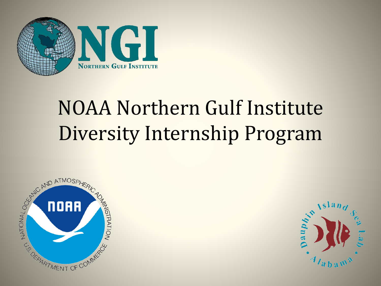

# NOAA Northern Gulf Institute Diversity Internship Program



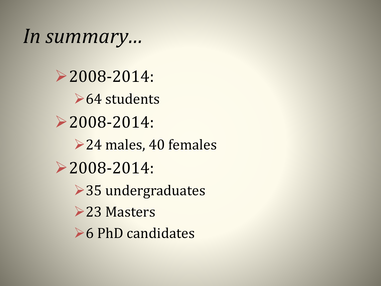*In summary…*

2008-2014: **►64 students** 2008-2014: **►24 males, 40 females** 2008-2014: **▶35 undergraduates ►23 Masters ►6 PhD candidates**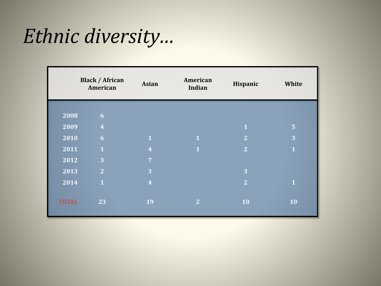#### *Ethnic diversity…*

|              | <b>Black / African</b><br>American | <b>Asian</b>            | American<br>Indian | Hispanic       | White          |
|--------------|------------------------------------|-------------------------|--------------------|----------------|----------------|
|              |                                    |                         |                    |                |                |
| 2008         | 6 <sup>1</sup>                     |                         |                    |                |                |
| 2009         | $\overline{4}$                     |                         |                    | $\mathbf{1}$   | $\overline{5}$ |
| 2010         | 6 <sup>1</sup>                     | $\overline{1}$          | $\overline{1}$     | $\overline{2}$ | 3              |
| 2011         | $\mathbf{1}$                       | $\overline{4}$          | $\overline{1}$     | $\overline{2}$ | $\mathbf{1}$   |
| 2012         | 3                                  | $\overline{7}$          |                    |                |                |
| 2013         | 2 <sup>1</sup>                     | 3                       |                    | 3              |                |
| 2014         | $\mathbf{1}$                       | $\overline{\mathbf{4}}$ |                    | $\overline{2}$ | $\overline{1}$ |
|              |                                    |                         |                    |                |                |
| <b>TOTAL</b> | 23                                 | 19                      | $\overline{2}$     | 10             | 10             |
|              |                                    |                         |                    |                |                |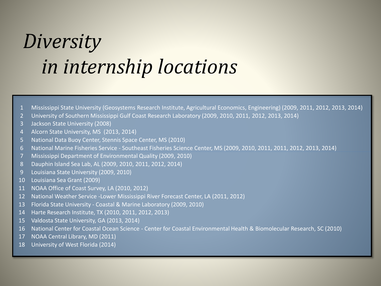### *Diversity in internship locations*

- Mississippi State University (Geosystems Research Institute, Agricultural Economics, Engineering) (2009, 2011, 2012, 2013, 2014)
- University of Southern Mississippi Gulf Coast Research Laboratory (2009, 2010, 2011, 2012, 2013, 2014)
- Jackson State University (2008)
- Alcorn State University, MS (2013, 2014)
- National Data Buoy Center, Stennis Space Center, MS (2010)
- National Marine Fisheries Service Southeast Fisheries Science Center, MS (2009, 2010, 2011, 2011, 2012, 2013, 2014)
- Mississippi Department of Environmental Quality (2009, 2010)
- Dauphin Island Sea Lab, AL (2009, 2010, 2011, 2012, 2014)
- Louisiana State University (2009, 2010)
- Louisiana Sea Grant (2009)
- NOAA Office of Coast Survey, LA (2010, 2012)
- National Weather Service -Lower Mississippi River Forecast Center, LA (2011, 2012)
- Florida State University Coastal & Marine Laboratory (2009, 2010)
- Harte Research Institute, TX (2010, 2011, 2012, 2013)
- Valdosta State University, GA (2013, 2014)
- National Center for Coastal Ocean Science Center for Coastal Environmental Health & Biomolecular Research, SC (2010)
- NOAA Central Library, MD (2011)
- University of West Florida (2014)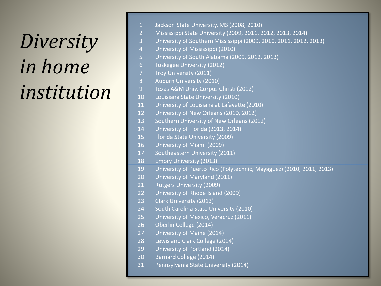# *Diversity in home institution*

| $\overline{1}$ | Jackson State University, MS (2008, 2010)                            |  |  |  |  |
|----------------|----------------------------------------------------------------------|--|--|--|--|
| $\overline{2}$ | Mississippi State University (2009, 2011, 2012, 2013, 2014)          |  |  |  |  |
| $\overline{3}$ | University of Southern Mississippi (2009, 2010, 2011, 2012, 2013)    |  |  |  |  |
| $\overline{4}$ | University of Mississippi (2010)                                     |  |  |  |  |
| 5              | University of South Alabama (2009, 2012, 2013)                       |  |  |  |  |
| 6              | Tuskegee University (2012)                                           |  |  |  |  |
| $\overline{7}$ | Troy University (2011)                                               |  |  |  |  |
| 8              | Auburn University (2010)                                             |  |  |  |  |
| 9              | Texas A&M Univ. Corpus Christi (2012)                                |  |  |  |  |
| 10             | Louisiana State University (2010)                                    |  |  |  |  |
| 11             | University of Louisiana at Lafayette (2010)                          |  |  |  |  |
| 12             | University of New Orleans (2010, 2012)                               |  |  |  |  |
| 13             | Southern University of New Orleans (2012)                            |  |  |  |  |
| 14             | University of Florida (2013, 2014)                                   |  |  |  |  |
| 15             | Florida State University (2009)                                      |  |  |  |  |
| 16             | University of Miami (2009)                                           |  |  |  |  |
| 17             | Southeastern University (2011)                                       |  |  |  |  |
| 18             | <b>Emory University (2013)</b>                                       |  |  |  |  |
| 19             | University of Puerto Rico (Polytechnic, Mayaguez) (2010, 2011, 2013) |  |  |  |  |
| 20             | University of Maryland (2011)                                        |  |  |  |  |
| 21             | <b>Rutgers University (2009)</b>                                     |  |  |  |  |
| 22             | University of Rhode Island (2009)                                    |  |  |  |  |
| 23             | Clark University (2013)                                              |  |  |  |  |
| 24             | South Carolina State University (2010)                               |  |  |  |  |
| 25             | University of Mexico, Veracruz (2011)                                |  |  |  |  |
| 26             | Oberlin College (2014)                                               |  |  |  |  |
| 27             | University of Maine (2014)                                           |  |  |  |  |
| 28             | Lewis and Clark College (2014)                                       |  |  |  |  |
| 29             | University of Portland (2014)                                        |  |  |  |  |
| 30             | <b>Barnard College (2014)</b>                                        |  |  |  |  |
| 31             | Pennsylvania State University (2014)                                 |  |  |  |  |
|                |                                                                      |  |  |  |  |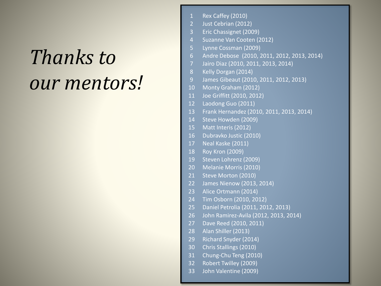# *Thanks to our mentors!*

| $\mathbf{1}$    | Rex Caffey (2010)                           |  |  |
|-----------------|---------------------------------------------|--|--|
| $\overline{2}$  | Just Cebrian (2012)                         |  |  |
| 3               | Eric Chassignet (2009)                      |  |  |
| $\overline{4}$  | Suzanne Van Cooten (2012)                   |  |  |
| 5               | Lynne Cossman (2009)                        |  |  |
| $\overline{6}$  | Andre Debose (2010, 2011, 2012, 2013, 2014) |  |  |
| $\overline{7}$  | Jairo Diaz (2010, 2011, 2013, 2014)         |  |  |
| 8               | Kelly Dorgan (2014)                         |  |  |
| $\overline{9}$  | James Gibeaut (2010, 2011, 2012, 2013)      |  |  |
| 10              | Monty Graham (2012)                         |  |  |
| 11              | Joe Griffitt (2010, 2012)                   |  |  |
| 12              | Laodong Guo (2011)                          |  |  |
| 13              | Frank Hernandez (2010, 2011, 2013, 2014)    |  |  |
| 14              | Steve Howden (2009)                         |  |  |
| 15              | Matt Interis (2012)                         |  |  |
| 16              | Dubravko Justic (2010)                      |  |  |
| 17              | Neal Kaske (2011)                           |  |  |
| 18              | <b>Roy Kron (2009)</b>                      |  |  |
| 19              | Steven Lohrenz (2009)                       |  |  |
| 20              | Melanie Morris (2010)                       |  |  |
| 21              | Steve Morton (2010)                         |  |  |
| 22              | James Nienow (2013, 2014)                   |  |  |
| 23              | Alice Ortmann (2014)                        |  |  |
| 24              | Tim Osborn (2010, 2012)                     |  |  |
| 25              | Daniel Petrolia (2011, 2012, 2013)          |  |  |
| 26              | John Ramirez-Avila (2012, 2013, 2014)       |  |  |
| 27              | Dave Reed (2010, 2011)                      |  |  |
| 28              | Alan Shiller (2013)                         |  |  |
| 29              | Richard Snyder (2014)                       |  |  |
| 30              | Chris Stallings (2010)                      |  |  |
| 31              | Chung-Chu Teng (2010)                       |  |  |
| 32 <sup>2</sup> | Robert Twilley (2009)                       |  |  |
| 33              | John Valentine (2009)                       |  |  |
|                 |                                             |  |  |